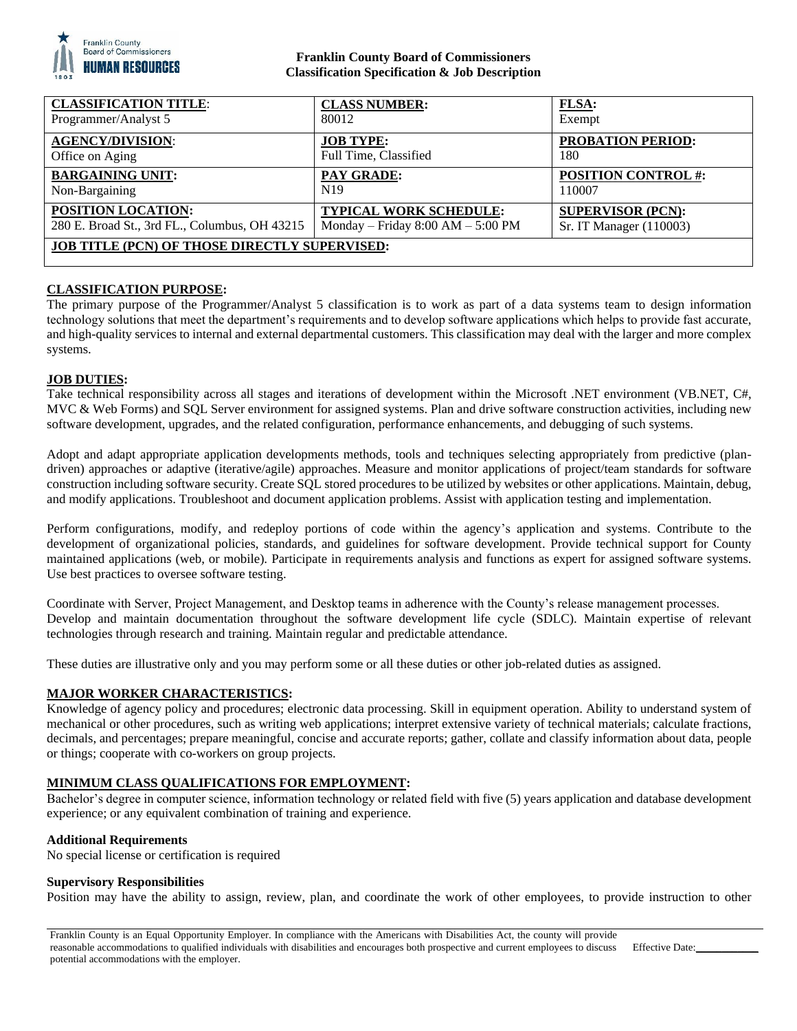

### **Franklin County Board of Commissioners Classification Specification & Job Description**

| <b>CLASSIFICATION TITLE:</b>                         | <b>CLASS NUMBER:</b>                | FLSA:                      |
|------------------------------------------------------|-------------------------------------|----------------------------|
| Programmer/Analyst 5                                 | 80012                               | Exempt                     |
| <b>AGENCY/DIVISION:</b>                              | <b>JOB TYPE:</b>                    | <b>PROBATION PERIOD:</b>   |
| Office on Aging                                      | Full Time, Classified               | 180                        |
| <b>BARGAINING UNIT:</b>                              | PAY GRADE:                          | <b>POSITION CONTROL #:</b> |
| Non-Bargaining                                       | N <sub>19</sub>                     | 110007                     |
| POSITION LOCATION:                                   | <b>TYPICAL WORK SCHEDULE:</b>       | <b>SUPERVISOR (PCN):</b>   |
| 280 E. Broad St., 3rd FL., Columbus, OH 43215        | Monday – Friday $8:00 AM - 5:00 PM$ | Sr. IT Manager (110003)    |
| <b>JOB TITLE (PCN) OF THOSE DIRECTLY SUPERVISED:</b> |                                     |                            |

# **CLASSIFICATION PURPOSE:**

The primary purpose of the Programmer/Analyst 5 classification is to work as part of a data systems team to design information technology solutions that meet the department's requirements and to develop software applications which helps to provide fast accurate, and high-quality services to internal and external departmental customers. This classification may deal with the larger and more complex systems.

### **JOB DUTIES:**

Take technical responsibility across all stages and iterations of development within the Microsoft .NET environment (VB.NET, C#, MVC & Web Forms) and SQL Server environment for assigned systems. Plan and drive software construction activities, including new software development, upgrades, and the related configuration, performance enhancements, and debugging of such systems.

Adopt and adapt appropriate application developments methods, tools and techniques selecting appropriately from predictive (plandriven) approaches or adaptive (iterative/agile) approaches. Measure and monitor applications of project/team standards for software construction including software security. Create SQL stored procedures to be utilized by websites or other applications. Maintain, debug, and modify applications. Troubleshoot and document application problems. Assist with application testing and implementation.

Perform configurations, modify, and redeploy portions of code within the agency's application and systems. Contribute to the development of organizational policies, standards, and guidelines for software development. Provide technical support for County maintained applications (web, or mobile). Participate in requirements analysis and functions as expert for assigned software systems. Use best practices to oversee software testing.

Coordinate with Server, Project Management, and Desktop teams in adherence with the County's release management processes. Develop and maintain documentation throughout the software development life cycle (SDLC). Maintain expertise of relevant technologies through research and training. Maintain regular and predictable attendance.

These duties are illustrative only and you may perform some or all these duties or other job-related duties as assigned.

### **MAJOR WORKER CHARACTERISTICS:**

Knowledge of agency policy and procedures; electronic data processing. Skill in equipment operation. Ability to understand system of mechanical or other procedures, such as writing web applications; interpret extensive variety of technical materials; calculate fractions, decimals, and percentages; prepare meaningful, concise and accurate reports; gather, collate and classify information about data, people or things; cooperate with co-workers on group projects.

### **MINIMUM CLASS QUALIFICATIONS FOR EMPLOYMENT:**

Bachelor's degree in computer science, information technology or related field with five (5) years application and database development experience; or any equivalent combination of training and experience.

### **Additional Requirements**

No special license or certification is required

#### **Supervisory Responsibilities**

Position may have the ability to assign, review, plan, and coordinate the work of other employees, to provide instruction to other

Effective Date: